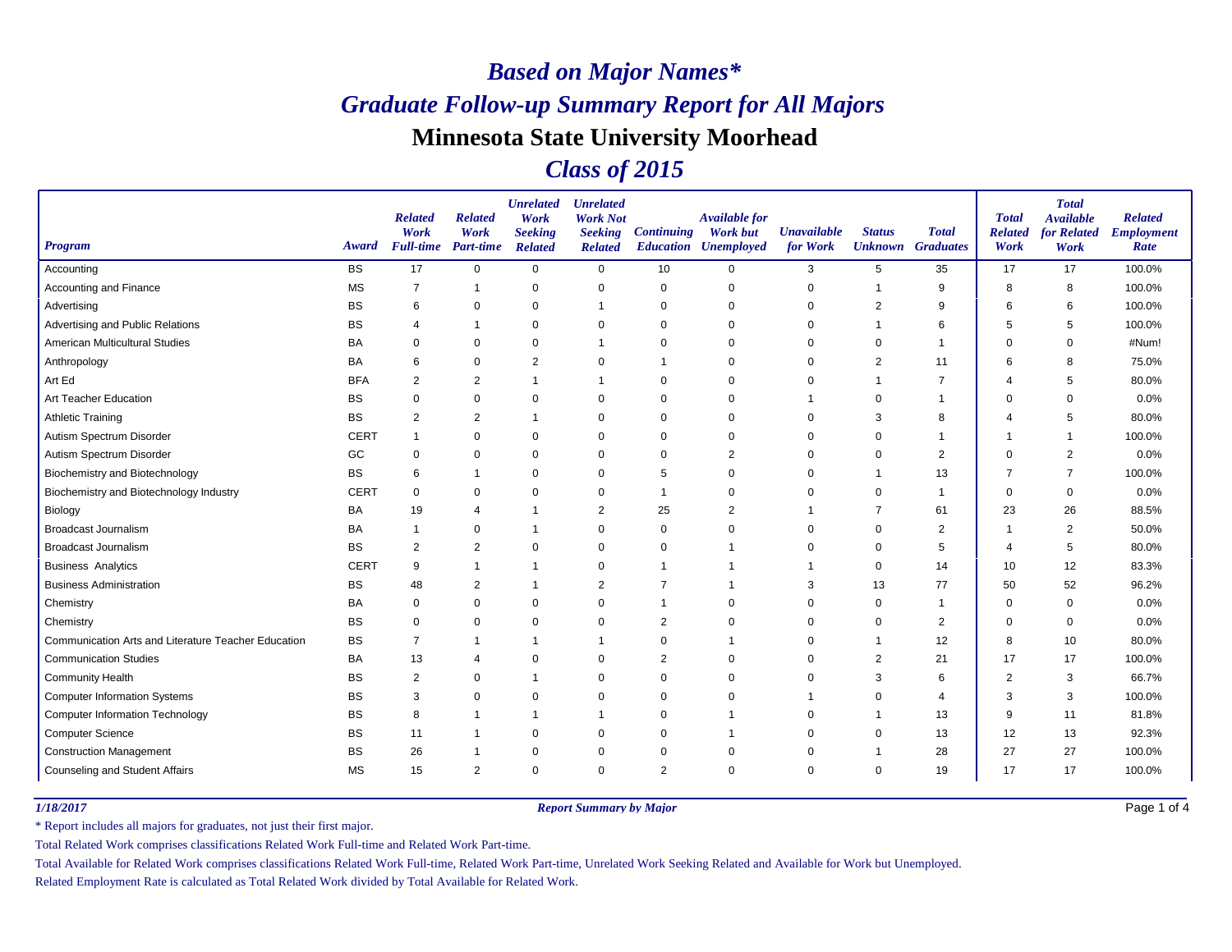## *Class of 2015*

| <b>Program</b>                                      | Award       | <b>Related</b><br>Work<br><b>Full-time</b> | <b>Related</b><br>Work<br>Part-time | <b>Unrelated</b><br>Work<br><b>Seeking</b><br><b>Related</b> | <b>Unrelated</b><br><b>Work Not</b><br><b>Seeking</b><br><b>Related</b> | <b>Continuing</b> | <b>Available for</b><br><b>Work but</b><br><b>Education Unemployed</b> | <b>Unavailable</b><br>for Work | <b>Status</b><br><b>Unknown</b> Graduates | <b>Total</b>   | <b>Total</b><br><b>Related</b><br>Work | <b>Total</b><br><b>Available</b><br>for Related<br>Work | <b>Related</b><br><b>Employment</b><br>Rate |
|-----------------------------------------------------|-------------|--------------------------------------------|-------------------------------------|--------------------------------------------------------------|-------------------------------------------------------------------------|-------------------|------------------------------------------------------------------------|--------------------------------|-------------------------------------------|----------------|----------------------------------------|---------------------------------------------------------|---------------------------------------------|
| Accounting                                          | <b>BS</b>   | 17                                         | $\mathbf 0$                         | $\mathbf 0$                                                  | $\mathbf 0$                                                             | 10                | $\Omega$                                                               | 3                              | 5                                         | 35             | 17                                     | 17                                                      | 100.0%                                      |
| Accounting and Finance                              | <b>MS</b>   | $\overline{7}$                             | $\mathbf 1$                         | $\mathbf 0$                                                  | $\pmb{0}$                                                               | $\mathbf 0$       | $\mathbf 0$                                                            | $\mathbf 0$                    | -1                                        | 9              | 8                                      | 8                                                       | 100.0%                                      |
| Advertising                                         | <b>BS</b>   | 6                                          | $\mathbf 0$                         | $\mathbf 0$                                                  |                                                                         | $\mathbf 0$       | $\mathbf 0$                                                            | $\mathbf 0$                    | $\overline{2}$                            | 9              | 6                                      | 6                                                       | 100.0%                                      |
| Advertising and Public Relations                    | <b>BS</b>   | 4                                          | $\overline{1}$                      | $\mathbf 0$                                                  | 0                                                                       | $\mathbf 0$       | $\Omega$                                                               | 0                              | -1                                        | 6              | 5                                      | 5                                                       | 100.0%                                      |
| American Multicultural Studies                      | <b>BA</b>   | 0                                          | $\mathbf 0$                         | $\mathbf 0$                                                  |                                                                         | $\mathbf 0$       | $\Omega$                                                               | 0                              | 0                                         | -1             | $\Omega$                               | $\mathbf 0$                                             | #Num!                                       |
| Anthropology                                        | BA          | 6                                          | 0                                   | $\overline{2}$                                               | 0                                                                       |                   | $\mathbf 0$                                                            | 0                              | $\overline{2}$                            | 11             | 6                                      | 8                                                       | 75.0%                                       |
| Art Ed                                              | <b>BFA</b>  | 2                                          | 2                                   | $\mathbf 1$                                                  |                                                                         | $\mathbf 0$       | $\Omega$                                                               | 0                              | $\overline{\phantom{a}}$                  | $\overline{7}$ | 4                                      | 5                                                       | 80.0%                                       |
| Art Teacher Education                               | <b>BS</b>   | 0                                          | 0                                   | $\mathbf 0$                                                  | 0                                                                       | $\mathbf 0$       | $\Omega$                                                               |                                | 0                                         | -1             | $\Omega$                               | 0                                                       | 0.0%                                        |
| <b>Athletic Training</b>                            | <b>BS</b>   | $\overline{c}$                             | $\overline{2}$                      | $\overline{1}$                                               | 0                                                                       | $\mathbf 0$       | $\mathbf 0$                                                            | $\mathbf 0$                    | 3                                         | 8              |                                        | 5                                                       | 80.0%                                       |
| Autism Spectrum Disorder                            | <b>CERT</b> | -1                                         | $\mathbf 0$                         | $\Omega$                                                     | 0                                                                       | $\mathbf 0$       | $\Omega$                                                               | 0                              | $\Omega$                                  |                | $\overline{\phantom{a}}$               | -1                                                      | 100.0%                                      |
| Autism Spectrum Disorder                            | GC          | 0                                          | $\mathbf 0$                         | $\mathbf 0$                                                  | $\mathbf 0$                                                             | $\mathbf 0$       | $\overline{2}$                                                         | 0                              | $\mathbf 0$                               | $\overline{c}$ | $\Omega$                               | $\overline{2}$                                          | 0.0%                                        |
| <b>Biochemistry and Biotechnology</b>               | <b>BS</b>   | 6                                          | -1                                  | $\mathbf 0$                                                  | 0                                                                       | 5                 | $\mathbf 0$                                                            | $\mathbf 0$                    | 1                                         | 13             | 7                                      | $\overline{7}$                                          | 100.0%                                      |
| Biochemistry and Biotechnology Industry             | <b>CERT</b> | $\mathbf 0$                                | $\mathbf 0$                         | $\Omega$                                                     | 0                                                                       |                   | $\Omega$                                                               | 0                              | $\Omega$                                  | $\overline{1}$ | $\Omega$                               | $\mathbf 0$                                             | 0.0%                                        |
| Biology                                             | BA          | 19                                         | 4                                   | $\mathbf 1$                                                  | 2                                                                       | 25                | $\overline{2}$                                                         |                                | $\overline{7}$                            | 61             | 23                                     | 26                                                      | 88.5%                                       |
| <b>Broadcast Journalism</b>                         | <b>BA</b>   | -1                                         | 0                                   | $\overline{1}$                                               | 0                                                                       | 0                 | $\mathbf 0$                                                            | 0                              | $\mathbf 0$                               | $\overline{2}$ |                                        | $\overline{2}$                                          | 50.0%                                       |
| <b>Broadcast Journalism</b>                         | <b>BS</b>   | $\overline{2}$                             | $\overline{2}$                      | $\mathbf 0$                                                  | 0                                                                       | $\mathbf 0$       | -1                                                                     | 0                              | 0                                         | 5              | 4                                      | 5                                                       | 80.0%                                       |
| <b>Business Analytics</b>                           | <b>CERT</b> | 9                                          | $\mathbf 1$                         | $\mathbf 1$                                                  | 0                                                                       |                   | -1                                                                     |                                | $\mathbf 0$                               | 14             | 10                                     | 12                                                      | 83.3%                                       |
| <b>Business Administration</b>                      | <b>BS</b>   | 48                                         | $\overline{2}$                      | $\overline{1}$                                               | $\overline{2}$                                                          | 7                 |                                                                        | 3                              | 13                                        | 77             | 50                                     | 52                                                      | 96.2%                                       |
| Chemistry                                           | <b>BA</b>   | 0                                          | $\mathbf 0$                         | $\Omega$                                                     | $\mathbf 0$                                                             |                   | $\Omega$                                                               | 0                              | $\Omega$                                  | $\mathbf{1}$   | $\Omega$                               | $\mathbf 0$                                             | 0.0%                                        |
| Chemistry                                           | <b>BS</b>   | 0                                          | $\mathbf 0$                         | $\mathbf 0$                                                  | 0                                                                       | $\overline{c}$    | $\mathbf 0$                                                            | 0                              | $\mathbf 0$                               | $\overline{c}$ | $\Omega$                               | $\pmb{0}$                                               | 0.0%                                        |
| Communication Arts and Literature Teacher Education | <b>BS</b>   | $\overline{7}$                             | -1                                  | -1                                                           |                                                                         | $\mathbf 0$       |                                                                        | $\mathbf 0$                    | 1                                         | 12             | 8                                      | 10                                                      | 80.0%                                       |
| <b>Communication Studies</b>                        | BA          | 13                                         | 4                                   | $\Omega$                                                     | 0                                                                       | 2                 | $\Omega$                                                               | 0                              | $\overline{2}$                            | 21             | 17                                     | 17                                                      | 100.0%                                      |
| <b>Community Health</b>                             | <b>BS</b>   | $\overline{c}$                             | $\mathbf 0$                         | $\mathbf 1$                                                  | $\mathbf 0$                                                             | $\mathbf 0$       | $\Omega$                                                               | 0                              | 3                                         | 6              | $\overline{2}$                         | 3                                                       | 66.7%                                       |
| <b>Computer Information Systems</b>                 | <b>BS</b>   | 3                                          | 0                                   | $\mathbf 0$                                                  | 0                                                                       | 0                 | $\mathbf 0$                                                            |                                | $\mathbf 0$                               | 4              | 3                                      | 3                                                       | 100.0%                                      |
| <b>Computer Information Technology</b>              | <b>BS</b>   | 8                                          |                                     | $\overline{1}$                                               |                                                                         | $\mathbf 0$       | -1                                                                     | 0                              | 1                                         | 13             | 9                                      | 11                                                      | 81.8%                                       |
| <b>Computer Science</b>                             | <b>BS</b>   | 11                                         | -1                                  | 0                                                            | 0                                                                       | 0                 | -1                                                                     | 0                              | 0                                         | 13             | 12                                     | 13                                                      | 92.3%                                       |
| <b>Construction Management</b>                      | <b>BS</b>   | 26                                         | -1                                  | 0                                                            | 0                                                                       | 0                 | $\mathbf 0$                                                            | $\mathbf 0$                    | -1                                        | 28             | 27                                     | 27                                                      | 100.0%                                      |
| Counseling and Student Affairs                      | <b>MS</b>   | 15                                         | 2                                   | $\mathbf 0$                                                  | $\mathbf 0$                                                             | 2                 | $\Omega$                                                               | 0                              | 0                                         | 19             | 17                                     | 17                                                      | 100.0%                                      |

*1/18/2017 Report Summary by Major*

Page 1 of 4

\* Report includes all majors for graduates, not just their first major.

Total Related Work comprises classifications Related Work Full-time and Related Work Part-time.

Total Available for Related Work comprises classifications Related Work Full-time, Related Work Part-time, Unrelated Work Seeking Related and Available for Work but Unemployed.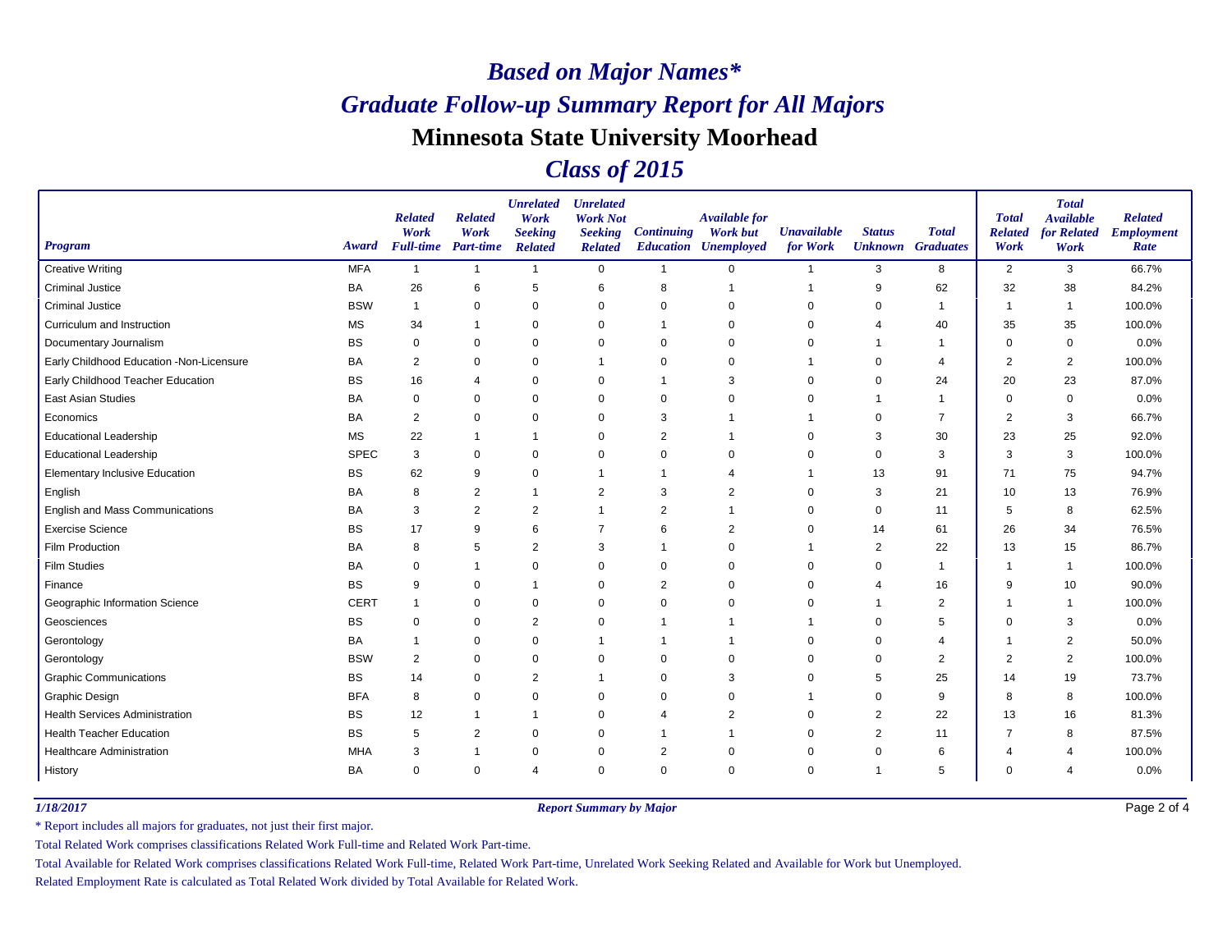## *Class of 2015*

| <b>Program</b>                           | Award       | <b>Related</b><br>Work<br><b>Full-time</b> Part-time | <b>Related</b><br>Work | <b>Unrelated</b><br>Work<br><b>Seeking</b><br><b>Related</b> | <b>Unrelated</b><br><b>Work Not</b><br><b>Seeking</b><br><b>Related</b> | <b>Continuing</b> | <b>Available for</b><br><b>Work but</b><br><b>Education Unemployed</b> | <b>Unavailable</b><br>for Work | <b>Status</b>  | <b>Total</b><br><b>Unknown</b> Graduates | <b>Total</b><br><b>Related</b><br>Work | <b>Total</b><br><b>Available</b><br>for Related<br>Work | <b>Related</b><br><b>Employment</b><br>Rate |
|------------------------------------------|-------------|------------------------------------------------------|------------------------|--------------------------------------------------------------|-------------------------------------------------------------------------|-------------------|------------------------------------------------------------------------|--------------------------------|----------------|------------------------------------------|----------------------------------------|---------------------------------------------------------|---------------------------------------------|
| <b>Creative Writing</b>                  | <b>MFA</b>  | $\overline{1}$                                       | $\overline{1}$         | $\mathbf{1}$                                                 | $\mathbf 0$                                                             | $\mathbf{1}$      | $\Omega$                                                               | 1                              | 3              | 8                                        | $\overline{2}$                         | 3                                                       | 66.7%                                       |
| <b>Criminal Justice</b>                  | BA          | 26                                                   | 6                      | 5                                                            | 6                                                                       | 8                 |                                                                        | 1                              | 9              | 62                                       | 32                                     | 38                                                      | 84.2%                                       |
| <b>Criminal Justice</b>                  | <b>BSW</b>  | $\overline{1}$                                       | $\pmb{0}$              | $\mathbf 0$                                                  | $\mathbf 0$                                                             | $\mathbf 0$       | $\Omega$                                                               | 0                              | $\mathbf 0$    |                                          |                                        | $\overline{1}$                                          | 100.0%                                      |
| Curriculum and Instruction               | <b>MS</b>   | 34                                                   |                        | $\mathbf 0$                                                  | $\mathbf 0$                                                             |                   | $\Omega$                                                               | 0                              | 4              | 40                                       | 35                                     | 35                                                      | 100.0%                                      |
| Documentary Journalism                   | <b>BS</b>   | 0                                                    | 0                      | 0                                                            | 0                                                                       | $\Omega$          | $\Omega$                                                               | 0                              |                |                                          | $\Omega$                               | 0                                                       | 0.0%                                        |
| Early Childhood Education -Non-Licensure | <b>BA</b>   | 2                                                    | $\mathbf 0$            | $\mathbf 0$                                                  | $\mathbf 1$                                                             | $\mathbf 0$       | $\Omega$                                                               |                                | $\mathbf 0$    | $\overline{4}$                           | $\overline{2}$                         | 2                                                       | 100.0%                                      |
| Early Childhood Teacher Education        | <b>BS</b>   | 16                                                   | $\overline{4}$         | $\mathbf 0$                                                  | $\mathbf 0$                                                             | 1                 | 3                                                                      | $\Omega$                       | $\mathbf 0$    | 24                                       | 20                                     | 23                                                      | 87.0%                                       |
| <b>East Asian Studies</b>                | <b>BA</b>   | 0                                                    | 0                      | 0                                                            | $\mathbf 0$                                                             | $\Omega$          | $\Omega$                                                               | 0                              |                | $\mathbf 1$                              | $\Omega$                               | 0                                                       | 0.0%                                        |
| Economics                                | <b>BA</b>   | 2                                                    | $\mathbf 0$            | $\mathbf 0$                                                  | 0                                                                       | 3                 |                                                                        |                                | $\mathbf 0$    | $\overline{7}$                           | $\overline{2}$                         | 3                                                       | 66.7%                                       |
| <b>Educational Leadership</b>            | <b>MS</b>   | 22                                                   | $\mathbf 1$            | $\overline{1}$                                               | $\mathbf 0$                                                             | $\overline{2}$    |                                                                        | 0                              | 3              | 30                                       | 23                                     | 25                                                      | 92.0%                                       |
| <b>Educational Leadership</b>            | <b>SPEC</b> | 3                                                    | $\pmb{0}$              | $\mathbf 0$                                                  | $\mathbf 0$                                                             | $\Omega$          | $\Omega$                                                               | 0                              | 0              | 3                                        | 3                                      | 3                                                       | 100.0%                                      |
| <b>Elementary Inclusive Education</b>    | <b>BS</b>   | 62                                                   | 9                      | $\mathbf 0$                                                  | $\mathbf 1$                                                             | 1                 | $\mathbf 4$                                                            | 1                              | 13             | 91                                       | 71                                     | 75                                                      | 94.7%                                       |
| English                                  | <b>BA</b>   | 8                                                    | $\overline{2}$         | $\mathbf{1}$                                                 | $\overline{2}$                                                          | 3                 | $\overline{2}$                                                         | $\Omega$                       | 3              | 21                                       | 10                                     | 13                                                      | 76.9%                                       |
| English and Mass Communications          | <b>BA</b>   | 3                                                    | $\overline{2}$         | $\overline{2}$                                               | -1                                                                      | 2                 |                                                                        | 0                              | 0              | 11                                       | 5                                      | 8                                                       | 62.5%                                       |
| <b>Exercise Science</b>                  | BS          | 17                                                   | 9                      | 6                                                            | $\overline{7}$                                                          | 6                 | $\overline{2}$                                                         | 0                              | 14             | 61                                       | 26                                     | 34                                                      | 76.5%                                       |
| <b>Film Production</b>                   | <b>BA</b>   | 8                                                    | 5                      | $\overline{2}$                                               | 3                                                                       |                   | $\Omega$                                                               |                                | $\overline{2}$ | 22                                       | 13                                     | 15                                                      | 86.7%                                       |
| <b>Film Studies</b>                      | <b>BA</b>   | 0                                                    |                        | $\pmb{0}$                                                    | $\mathbf 0$                                                             | $\Omega$          |                                                                        |                                | $\Omega$       | $\mathbf 1$                              |                                        | -1                                                      | 100.0%                                      |
| Finance                                  | <b>BS</b>   | 9                                                    | 0                      | $\overline{1}$                                               | 0                                                                       | 2                 | $\Omega$                                                               | 0                              | 4              | 16                                       | 9                                      | 10                                                      | 90.0%                                       |
| Geographic Information Science           | <b>CERT</b> | 1                                                    | $\mathbf 0$            | $\mathbf 0$                                                  | $\mathbf 0$                                                             | $\Omega$          | $\Omega$                                                               | 0                              |                | $\overline{c}$                           |                                        | $\overline{1}$                                          | 100.0%                                      |
| Geosciences                              | <b>BS</b>   | 0                                                    | $\mathbf 0$            | $\overline{2}$                                               | $\mathbf 0$                                                             |                   |                                                                        |                                |                | 5                                        | $\Omega$                               | 3                                                       | 0.0%                                        |
| Gerontology                              | BA          | 1                                                    | 0                      | 0                                                            | -1                                                                      |                   |                                                                        | $\Omega$                       | $\Omega$       | 4                                        |                                        | 2                                                       | 50.0%                                       |
| Gerontology                              | <b>BSW</b>  | $\overline{2}$                                       | $\pmb{0}$              | $\mathbf 0$                                                  | $\mathbf 0$                                                             | 0                 | $\Omega$                                                               | 0                              | $\mathbf 0$    | $\overline{c}$                           | $\overline{2}$                         | $\overline{2}$                                          | 100.0%                                      |
| <b>Graphic Communications</b>            | <b>BS</b>   | 14                                                   | $\mathbf 0$            | $\overline{2}$                                               | -1                                                                      | 0                 | 3                                                                      | 0                              | 5              | 25                                       | 14                                     | 19                                                      | 73.7%                                       |
| Graphic Design                           | <b>BFA</b>  | 8                                                    | $\mathbf 0$            | $\mathbf 0$                                                  | $\mathbf 0$                                                             | $\Omega$          | $\Omega$                                                               |                                | $\mathbf 0$    | 9                                        | 8                                      | 8                                                       | 100.0%                                      |
| <b>Health Services Administration</b>    | <b>BS</b>   | 12                                                   | $\mathbf 1$            | $\overline{1}$                                               | $\mathbf 0$                                                             | $\overline{4}$    | $\overline{2}$                                                         | 0                              | $\overline{2}$ | 22                                       | 13                                     | 16                                                      | 81.3%                                       |
| <b>Health Teacher Education</b>          | <b>BS</b>   | 5                                                    | $\overline{2}$         | $\mathbf 0$                                                  | $\mathbf 0$                                                             |                   |                                                                        | $\Omega$                       | $\overline{2}$ | 11                                       | $\overline{7}$                         | 8                                                       | 87.5%                                       |
| <b>Healthcare Administration</b>         | <b>MHA</b>  | 3                                                    |                        | 0                                                            | 0                                                                       | 2                 | $\Omega$                                                               | $\Omega$                       | 0              | 6                                        | Δ                                      | 4                                                       | 100.0%                                      |
| History                                  | BA          | 0                                                    | $\mathbf 0$            | $\overline{4}$                                               | $\mathbf 0$                                                             | $\Omega$          | $\Omega$                                                               | 0                              | -1             | 5                                        | $\Omega$                               | $\overline{\mathcal{A}}$                                | 0.0%                                        |

*1/18/2017 Report Summary by Major*

Page 2 of 4

\* Report includes all majors for graduates, not just their first major.

Total Related Work comprises classifications Related Work Full-time and Related Work Part-time.

Total Available for Related Work comprises classifications Related Work Full-time, Related Work Part-time, Unrelated Work Seeking Related and Available for Work but Unemployed.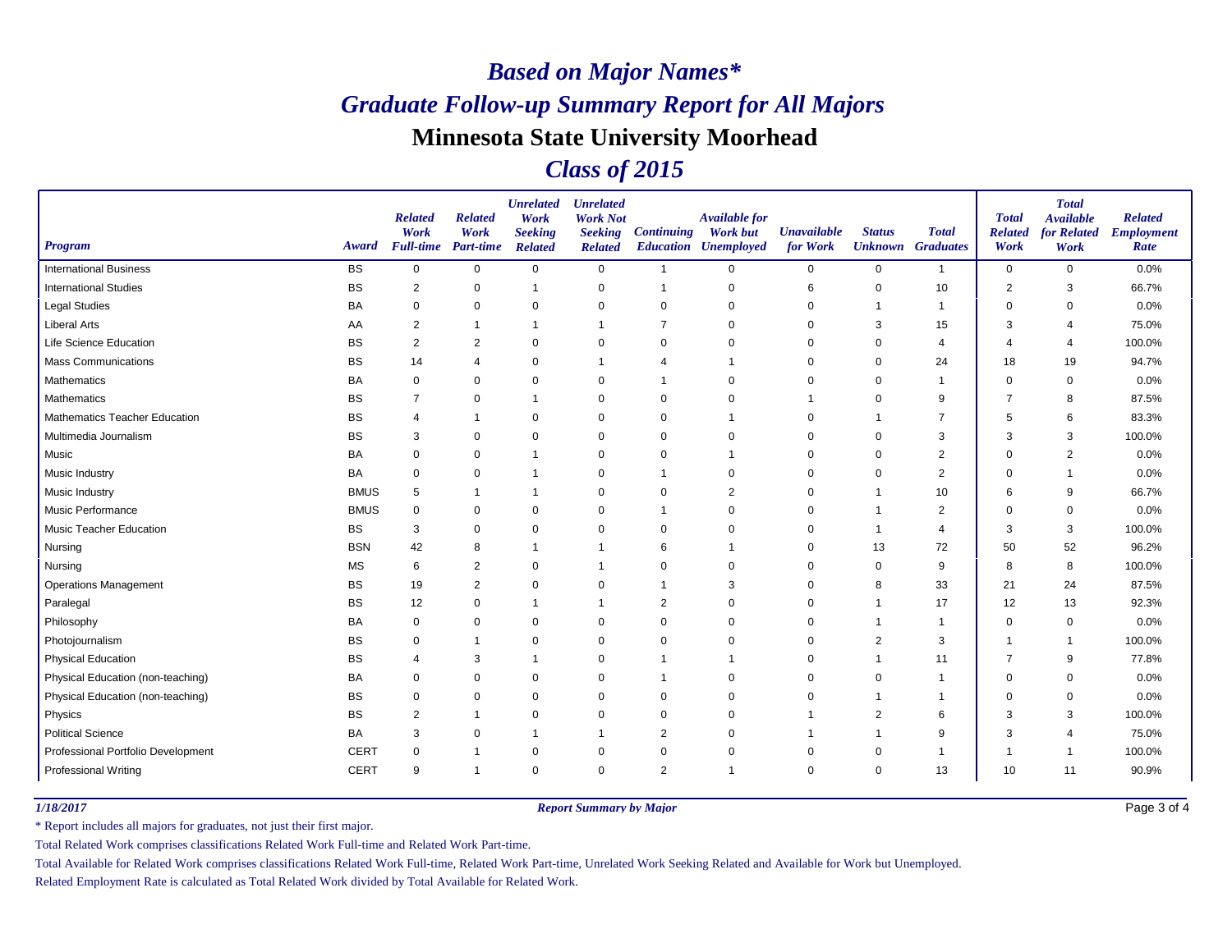## *Class of 2015*

| <b>Program</b>                     | Award       | <b>Related</b><br>Work<br><b>Full-time</b> | <b>Related</b><br>Work<br><b>Part-time</b> | <b>Unrelated</b><br>Work<br><b>Seeking</b><br><b>Related</b> | <b>Unrelated</b><br><b>Work Not</b><br><b>Seeking</b><br><b>Related</b> | <b>Continuing</b> | <b>Available for</b><br><b>Work but</b><br><b>Education Unemployed</b> | <b>Unavailable</b><br>for Work | <b>Status</b>  | <b>Total</b><br><b>Unknown</b> Graduates | <b>Total</b><br><b>Related</b><br>Work | <b>Total</b><br><b>Available</b><br>for Related<br>Work | <b>Related</b><br><b>Employment</b><br>Rate |
|------------------------------------|-------------|--------------------------------------------|--------------------------------------------|--------------------------------------------------------------|-------------------------------------------------------------------------|-------------------|------------------------------------------------------------------------|--------------------------------|----------------|------------------------------------------|----------------------------------------|---------------------------------------------------------|---------------------------------------------|
| <b>International Business</b>      | <b>BS</b>   | 0                                          | $\mathbf 0$                                | $\mathbf 0$                                                  | $\mathbf 0$                                                             | $\mathbf 1$       | $\Omega$                                                               | 0                              | $\mathbf 0$    | $\mathbf{1}$                             | $\mathbf 0$                            | $\mathbf 0$                                             | 0.0%                                        |
| <b>International Studies</b>       | <b>BS</b>   | 2                                          | 0                                          | $\overline{1}$                                               | 0                                                                       | $\mathbf 1$       | $\mathbf 0$                                                            | 6                              | 0              | 10                                       | $\overline{2}$                         | 3                                                       | 66.7%                                       |
| <b>Legal Studies</b>               | BA          | 0                                          | $\mathbf 0$                                | $\mathbf 0$                                                  | $\mathbf 0$                                                             | 0                 | $\mathbf 0$                                                            | 0                              |                |                                          | $\Omega$                               | $\mathbf 0$                                             | 0.0%                                        |
| <b>Liberal Arts</b>                | AA          | $\overline{2}$                             | $\mathbf 1$                                | $\mathbf 1$                                                  |                                                                         | $\overline{7}$    | $\Omega$                                                               | 0                              | 3              | 15                                       | 3                                      | $\overline{4}$                                          | 75.0%                                       |
| Life Science Education             | <b>BS</b>   | 2                                          | 2                                          | 0                                                            | 0                                                                       | 0                 | $\Omega$                                                               | 0                              | 0              | 4                                        | 4                                      | $\overline{4}$                                          | 100.0%                                      |
| <b>Mass Communications</b>         | <b>BS</b>   | 14                                         | $\overline{4}$                             | $\mathbf 0$                                                  | 1                                                                       | 4                 |                                                                        | 0                              | 0              | 24                                       | 18                                     | 19                                                      | 94.7%                                       |
| Mathematics                        | <b>BA</b>   | 0                                          | $\mathbf 0$                                | $\mathbf 0$                                                  | 0                                                                       | 1                 | $\Omega$                                                               | 0                              | $\Omega$       | 1                                        | $\Omega$                               | $\mathbf 0$                                             | 0.0%                                        |
| Mathematics                        | <b>BS</b>   | $\overline{7}$                             | 0                                          | $\overline{1}$                                               | 0                                                                       | 0                 | $\Omega$                                                               |                                | $\mathbf 0$    | 9                                        |                                        | 8                                                       | 87.5%                                       |
| Mathematics Teacher Education      | <b>BS</b>   | $\overline{\mathbf{4}}$                    | $\mathbf{1}$                               | $\mathbf 0$                                                  | 0                                                                       | 0                 |                                                                        | 0                              |                | $\overline{7}$                           | 5                                      | 6                                                       | 83.3%                                       |
| Multimedia Journalism              | <b>BS</b>   | 3                                          | $\mathbf 0$                                | $\mathbf 0$                                                  | 0                                                                       | $\Omega$          | $\Omega$                                                               | 0                              | $\Omega$       | 3                                        | 3                                      | 3                                                       | 100.0%                                      |
| Music                              | BA          | 0                                          | 0                                          | $\overline{1}$                                               | 0                                                                       | 0                 | -1                                                                     | 0                              | 0              | 2                                        | $\Omega$                               | $\overline{2}$                                          | 0.0%                                        |
| Music Industry                     | <b>BA</b>   | 0                                          | 0                                          | $\overline{1}$                                               | 0                                                                       | -1                | $\Omega$                                                               | 0                              | $\mathbf 0$    | 2                                        | $\Omega$                               | $\overline{1}$                                          | 0.0%                                        |
| Music Industry                     | <b>BMUS</b> | 5                                          | $\mathbf{1}$                               | $\overline{1}$                                               | 0                                                                       | 0                 | 2                                                                      | 0                              |                | 10                                       | 6                                      | 9                                                       | 66.7%                                       |
| Music Performance                  | <b>BMUS</b> | 0                                          | 0                                          | 0                                                            | 0                                                                       | -1                | $\Omega$                                                               | 0                              |                | $\overline{2}$                           | $\Omega$                               | $\mathbf 0$                                             | 0.0%                                        |
| Music Teacher Education            | <b>BS</b>   | 3                                          | 0                                          | $\mathbf 0$                                                  | 0                                                                       | $\Omega$          | $\Omega$                                                               | 0                              |                | 4                                        | 3                                      | 3                                                       | 100.0%                                      |
| Nursing                            | <b>BSN</b>  | 42                                         | 8                                          | $\overline{1}$                                               |                                                                         | 6                 |                                                                        | 0                              | 13             | 72                                       | 50                                     | 52                                                      | 96.2%                                       |
| Nursing                            | <b>MS</b>   | 6                                          | $\sqrt{2}$                                 | $\mathbf 0$                                                  |                                                                         | 0                 | $\Omega$                                                               | 0                              | $\mathbf 0$    | 9                                        | 8                                      | 8                                                       | 100.0%                                      |
| <b>Operations Management</b>       | <b>BS</b>   | 19                                         | $\overline{c}$                             | $\mathbf 0$                                                  | 0                                                                       | -1                | 3                                                                      | 0                              | 8              | 33                                       | 21                                     | 24                                                      | 87.5%                                       |
| Paralegal                          | <b>BS</b>   | 12                                         | $\mathbf 0$                                | $\overline{1}$                                               | 1                                                                       | $\overline{2}$    | $\Omega$                                                               | 0                              | $\overline{1}$ | 17                                       | 12                                     | 13                                                      | 92.3%                                       |
| Philosophy                         | BA          | 0                                          | $\mathbf 0$                                | $\mathbf 0$                                                  | 0                                                                       | 0                 | $\Omega$                                                               | 0                              |                | -1                                       | $\Omega$                               | $\mathbf 0$                                             | 0.0%                                        |
| Photojournalism                    | <b>BS</b>   | 0                                          | $\mathbf 1$                                | $\mathbf 0$                                                  | 0                                                                       | 0                 | $\Omega$                                                               | 0                              | 2              | 3                                        |                                        | $\overline{1}$                                          | 100.0%                                      |
| <b>Physical Education</b>          | <b>BS</b>   | 4                                          | 3                                          | $\mathbf{1}$                                                 | $\mathbf 0$                                                             | -1                | -1                                                                     | 0                              | -1             | 11                                       | 7                                      | 9                                                       | 77.8%                                       |
| Physical Education (non-teaching)  | <b>BA</b>   | 0                                          | $\mathbf 0$                                | $\mathbf 0$                                                  | 0                                                                       | -1                | $\Omega$                                                               | 0                              | $\Omega$       | -1                                       | $\Omega$                               | 0                                                       | 0.0%                                        |
| Physical Education (non-teaching)  | <b>BS</b>   | 0                                          | $\mathbf 0$                                | $\mathbf 0$                                                  | 0                                                                       | 0                 | $\Omega$                                                               | 0                              | -1             |                                          | $\Omega$                               | 0                                                       | 0.0%                                        |
| Physics                            | <b>BS</b>   | $\overline{2}$                             | $\overline{1}$                             | $\pmb{0}$                                                    | 0                                                                       | $\Omega$          | $\Omega$                                                               | $\overline{\phantom{a}}$       | $\overline{2}$ | 6                                        | 3                                      | 3                                                       | 100.0%                                      |
| <b>Political Science</b>           | BA          | 3                                          | $\mathbf 0$                                | -1                                                           |                                                                         | $\overline{2}$    | $\Omega$                                                               |                                |                | 9                                        | 3                                      | 4                                                       | 75.0%                                       |
| Professional Portfolio Development | <b>CERT</b> | 0                                          | $\mathbf{1}$                               | 0                                                            | 0                                                                       | 0                 | $\mathbf 0$                                                            | 0                              | 0              |                                          |                                        | -1                                                      | 100.0%                                      |
| <b>Professional Writing</b>        | <b>CERT</b> | 9                                          | $\overline{1}$                             | $\mathbf 0$                                                  | $\mathbf 0$                                                             | 2                 | $\overline{1}$                                                         | 0                              | $\mathbf 0$    | 13                                       | 10                                     | 11                                                      | 90.9%                                       |

*1/18/2017 Report Summary by Major*

Page 3 of 4

\* Report includes all majors for graduates, not just their first major.

Total Related Work comprises classifications Related Work Full-time and Related Work Part-time.

Total Available for Related Work comprises classifications Related Work Full-time, Related Work Part-time, Unrelated Work Seeking Related and Available for Work but Unemployed.